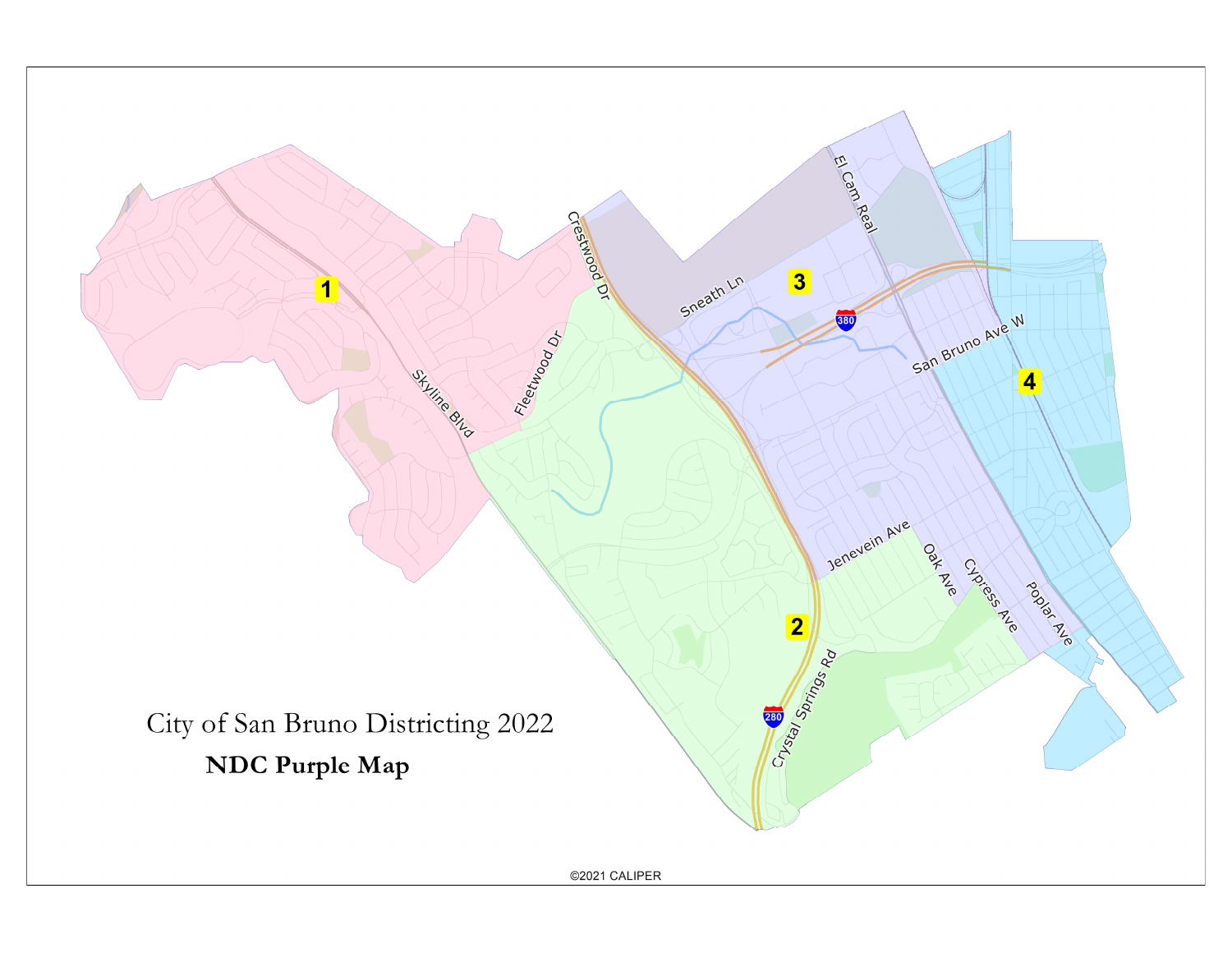